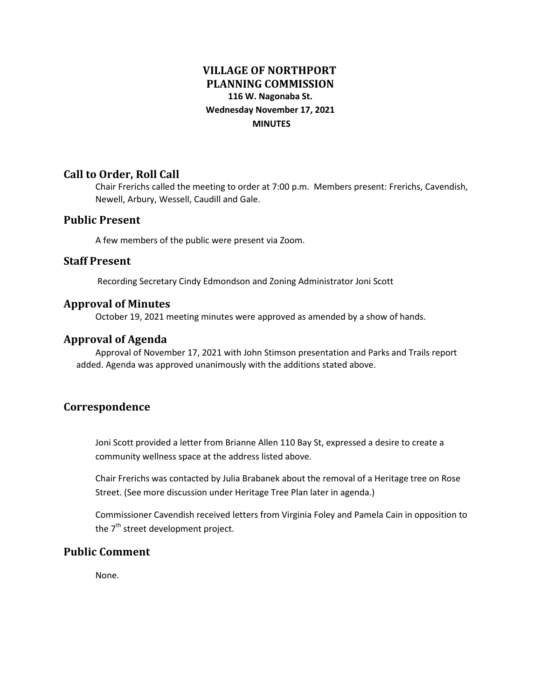# **VILLAGE OF NORTHPORT PLANNING COMMISSION 116 W. Nagonaba St. Wednesday November 17, 2021 MINUTES**

## **Call to Order, Roll Call**

Chair Frerichs called the meeting to order at 7:00 p.m. Members present: Frerichs, Cavendish, Newell, Arbury, Wessell, Caudill and Gale.

#### **Public Present**

A few members of the public were present via Zoom.

#### **Staff Present**

Recording Secretary Cindy Edmondson and Zoning Administrator Joni Scott

#### **Approval of Minutes**

October 19, 2021 meeting minutes were approved as amended by a show of hands.

## **Approval of Agenda**

Approval of November 17, 2021 with John Stimson presentation and Parks and Trails report added. Agenda was approved unanimously with the additions stated above.

## **Correspondence**

Joni Scott provided a letter from Brianne Allen 110 Bay St, expressed a desire to create a community wellness space at the address listed above.

Chair Frerichs was contacted by Julia Brabanek about the removal of a Heritage tree on Rose Street. (See more discussion under Heritage Tree Plan later in agenda.)

Commissioner Cavendish received letters from Virginia Foley and Pamela Cain in opposition to the 7<sup>th</sup> street development project.

## **Public Comment**

None.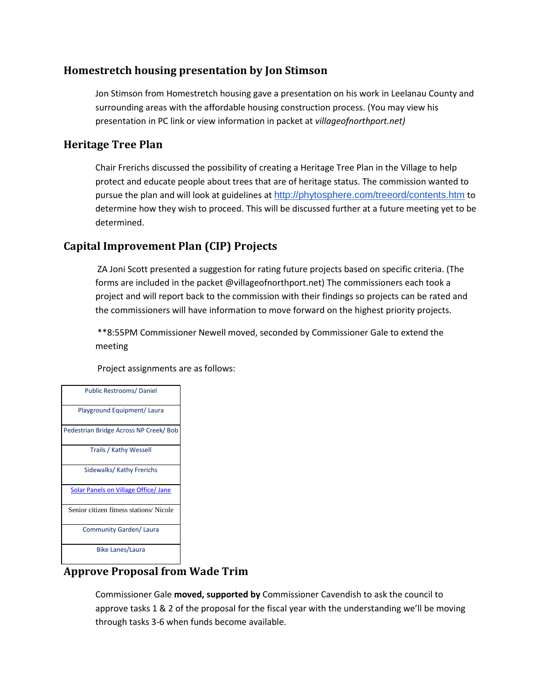## **Homestretch housing presentation by Jon Stimson**

Jon Stimson from Homestretch housing gave a presentation on his work in Leelanau County and surrounding areas with the affordable housing construction process. (You may view his presentation in PC link or view information in packet at *villageofnorthport.net)*

## **Heritage Tree Plan**

Chair Frerichs discussed the possibility of creating a Heritage Tree Plan in the Village to help protect and educate people about trees that are of heritage status. The commission wanted to pursue the plan and will look at guidelines at <http://phytosphere.com/treeord/contents.htm> to determine how they wish to proceed. This will be discussed further at a future meeting yet to be determined.

## **Capital Improvement Plan (CIP) Projects**

ZA Joni Scott presented a suggestion for rating future projects based on specific criteria. (The forms are included in the packet @villageofnorthport.net) The commissioners each took a project and will report back to the commission with their findings so projects can be rated and the commissioners will have information to move forward on the highest priority projects.

\*\*8:55PM Commissioner Newell moved, seconded by Commissioner Gale to extend the meeting

Project assignments are as follows:

| <b>Public Restrooms/Daniel</b>              |
|---------------------------------------------|
| Playground Equipment/ Laura                 |
| Pedestrian Bridge Across NP Creek/ Bob      |
| <b>Trails / Kathy Wessell</b>               |
| Sidewalks/ Kathy Frerichs                   |
| <b>Solar Panels on Village Office/ Jane</b> |
| Senior citizen fitness stations/Nicole      |
| Community Garden/ Laura                     |
| <b>Bike Lanes/Laura</b>                     |

## **Approve Proposal from Wade Trim**

Commissioner Gale **moved, supported by** Commissioner Cavendish to ask the council to approve tasks 1 & 2 of the proposal for the fiscal year with the understanding we'll be moving through tasks 3-6 when funds become available.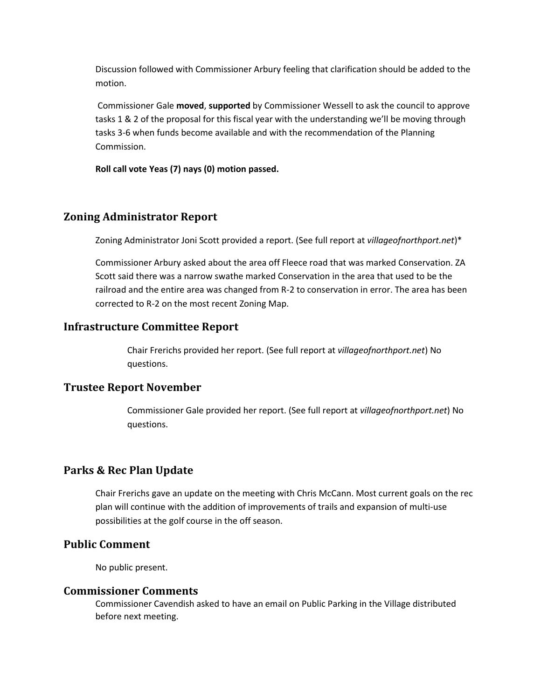Discussion followed with Commissioner Arbury feeling that clarification should be added to the motion.

Commissioner Gale **moved**, **supported** by Commissioner Wessell to ask the council to approve tasks 1 & 2 of the proposal for this fiscal year with the understanding we'll be moving through tasks 3-6 when funds become available and with the recommendation of the Planning Commission.

**Roll call vote Yeas (7) nays (0) motion passed.** 

## **Zoning Administrator Report**

Zoning Administrator Joni Scott provided a report. (See full report at *villageofnorthport.net*)\*

Commissioner Arbury asked about the area off Fleece road that was marked Conservation. ZA Scott said there was a narrow swathe marked Conservation in the area that used to be the railroad and the entire area was changed from R-2 to conservation in error. The area has been corrected to R-2 on the most recent Zoning Map.

## **Infrastructure Committee Report**

Chair Frerichs provided her report. (See full report at *villageofnorthport.net*) No questions.

## **Trustee Report November**

Commissioner Gale provided her report. (See full report at *villageofnorthport.net*) No questions.

# **Parks & Rec Plan Update**

Chair Frerichs gave an update on the meeting with Chris McCann. Most current goals on the rec plan will continue with the addition of improvements of trails and expansion of multi-use possibilities at the golf course in the off season.

## **Public Comment**

No public present.

## **Commissioner Comments**

Commissioner Cavendish asked to have an email on Public Parking in the Village distributed before next meeting.